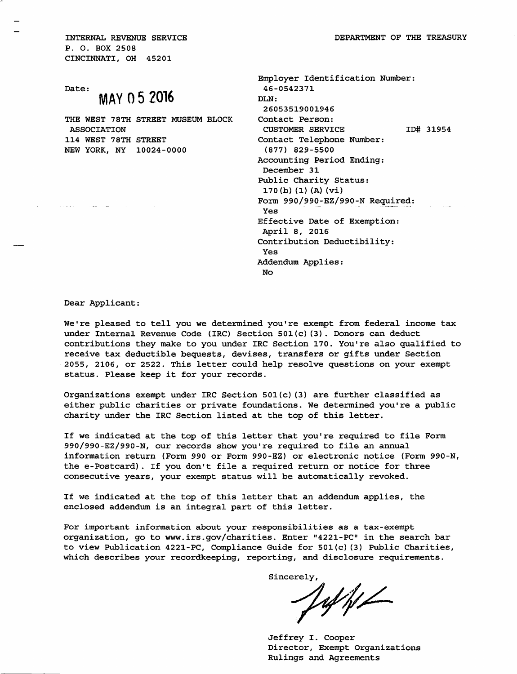INTERNAL REVENUE SERVICE P. O. BOX 2508 CINCINNATI, OH 45201

Date:

## MAY 0 5 2016

THE WEST 78TH STREET MUSEUM BLOCK ASSOCIATION 114 WEST 78TH STREET NEW YORK, NY 10024-0000

| Employer Identification Number:<br>46-0542371 |
|-----------------------------------------------|
| DLN:                                          |
| 26053519001946                                |
| Contact Person:                               |
| <b>CUSTOMER SERVICE</b><br>ID# 31954          |
| Contact Telephone Number:                     |
| $(877)$ 829-5500                              |
| Accounting Period Ending:                     |
| December 31                                   |
| Public Charity Status:                        |
| 170(b) (1) (A) (Vi)                           |
| Form 990/990-EZ/990-N Required:               |
| Yes                                           |
| Effective Date of Exemption:                  |
| April 8, 2016                                 |
| Contribution Deductibility:                   |
| Yes                                           |
| Addendum Applies:                             |
| No                                            |
|                                               |

Dear Applicant:

 $\sim 1000$  erg s  $\sim 1000$ 

We're pleased to tell you we determined you're exempt from federal income tax under Internal Revenue Code (IRC) Section 501(c)(3). Donors can deduct contributions they make to you under IRC Section 170. You're also qualified to receive tax deductible bequests, devises, transfers or gifts under Section 2055, 2106, or 2522. This letter could help resolve questions on your exempt status. Please keep it for your records.

Organizations exempt under IRC Section 501(c)(3) are further classified as either public charities or private foundations. We determined you're a public charity under the IRC Section listed at the top of this letter.

If we indicated at the top of this letter that you're required to file Form 990/990-EZ/990-N, our records show you're required to file an annual information return (Form 990 or Form 990-EZ) or electronic notice (Form 990-N, the e-Postcard). If you don't file <sup>a</sup> required return or notice for three consecutive years, your exempt status will be automatically revoked.

If we indicated at the top of this letter that an addendum applies, the enclosed addendum is an integral part of this letter.

For important information about your responsibilities as <sup>a</sup> tax-exempt organization, go to www.irs.gov/charities. Enter "4221-PC" in the search bar to view Publication 4221-PC, Compliance Guide for 501(c)(3) Public Charities, which describes your recordkeeping, reporting, and disclosure requirements.

Sincerely,

Vaf hl

Jeffrey I. Cooper Director, Exempt Organizations Rulings and Agreements